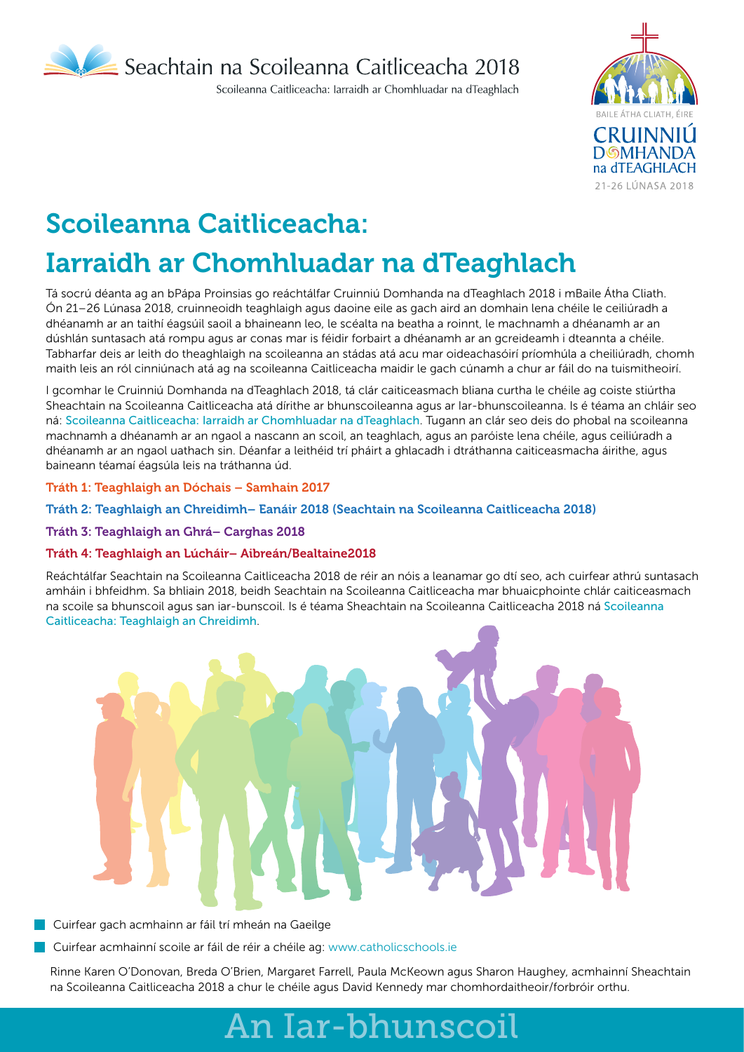

Scoileanna Caitliceacha: Iarraidh ar Chomhluadar na dTeaghlach



## Scoileanna Caitliceacha:

## Iarraidh ar Chomhluadar na dTeaghlach

Tá socrú déanta ag an bPápa Proinsias go reáchtálfar Cruinniú Domhanda na dTeaghlach 2018 i mBaile Átha Cliath. Ón 21–26 Lúnasa 2018, cruinneoidh teaghlaigh agus daoine eile as gach aird an domhain lena chéile le ceiliúradh a dhéanamh ar an taithí éagsúil saoil a bhaineann leo, le scéalta na beatha a roinnt, le machnamh a dhéanamh ar an dúshlán suntasach atá rompu agus ar conas mar is féidir forbairt a dhéanamh ar an gcreideamh i dteannta a chéile. Tabharfar deis ar leith do theaghlaigh na scoileanna an stádas atá acu mar oideachasóirí príomhúla a cheiliúradh, chomh maith leis an ról cinniúnach atá ag na scoileanna Caitliceacha maidir le gach cúnamh a chur ar fáil do na tuismitheoirí.

I gcomhar le Cruinniú Domhanda na dTeaghlach 2018, tá clár caiticeasmach bliana curtha le chéile ag coiste stiúrtha Sheachtain na Scoileanna Caitliceacha atá dírithe ar bhunscoileanna agus ar Iar-bhunscoileanna. Is é téama an chláir seo ná: Scoileanna Caitliceacha: Iarraidh ar Chomhluadar na dTeaghlach. Tugann an clár seo deis do phobal na scoileanna machnamh a dhéanamh ar an ngaol a nascann an scoil, an teaghlach, agus an paróiste lena chéile, agus ceiliúradh a dhéanamh ar an ngaol uathach sin. Déanfar a leithéid trí pháirt a ghlacadh i dtráthanna caiticeasmacha áirithe, agus baineann téamaí éagsúla leis na tráthanna úd.

- Tráth 1: Teaghlaigh an Dóchais Samhain 2017
- Tráth 2: Teaghlaigh an Chreidimh– Eanáir 2018 (Seachtain na Scoileanna Caitliceacha 2018)
- Tráth 3: Teaghlaigh an Ghrá– Carghas 2018

#### Tráth 4: Teaghlaigh an Lúcháir– Aibreán/Bealtaine2018

Reáchtálfar Seachtain na Scoileanna Caitliceacha 2018 de réir an nóis a leanamar go dtí seo, ach cuirfear athrú suntasach amháin i bhfeidhm. Sa bhliain 2018, beidh Seachtain na Scoileanna Caitliceacha mar bhuaicphointe chlár caiticeasmach na scoile sa bhunscoil agus san iar-bunscoil. Is é téama Sheachtain na Scoileanna Caitliceacha 2018 ná Scoileanna Caitliceacha: Teaghlaigh an Chreidimh.



Cuirfear gach acmhainn ar fáil trí mheán na Gaeilge

Cuirfear acmhainní scoile ar fáil de réir a chéile ag: www.catholicschools.ie

Rinne Karen O'Donovan, Breda O'Brien, Margaret Farrell, Paula McKeown agus Sharon Haughey, acmhainní Sheachtain na Scoileanna Caitliceacha 2018 a chur le chéile agus David Kennedy mar chomhordaitheoir/forbróir orthu.

# An Iar-bhunscoil